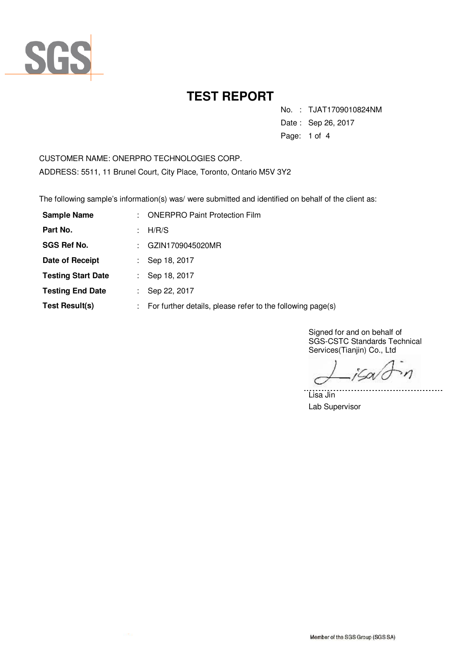

No. : TJAT1709010824NM

Date : Sep 26, 2017

Page: 1 of 4

CUSTOMER NAME: ONERPRO TECHNOLOGIES CORP. ADDRESS: 5511, 11 Brunel Court, City Place, Toronto, Ontario M5V 3Y2

The following sample's information(s) was/ were submitted and identified on behalf of the client as:

| <b>Sample Name</b>        | t. | <b>ONERPRO Paint Protection Film</b>                       |
|---------------------------|----|------------------------------------------------------------|
| Part No.                  | ÷. | H/R/S                                                      |
| <b>SGS Ref No.</b>        |    | GZIN1709045020MR                                           |
| Date of Receipt           |    | Sep 18, 2017                                               |
| <b>Testing Start Date</b> |    | Sep 18, 2017                                               |
| <b>Testing End Date</b>   |    | Sep 22, 2017                                               |
| Test Result(s)            |    | For further details, please refer to the following page(s) |

Signed for and on behalf of SGS-CSTC Standards Technical Services(Tianjin) Co., Ltd

jSov<sup>i</sup>c  $\mathcal{M}$ 

. . . . . . . .

Lisa Jin Lab Supervisor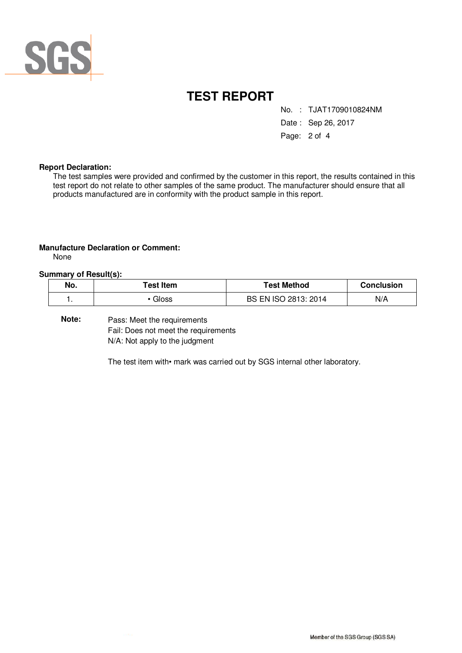

No. : TJAT1709010824NM

Date : Sep 26, 2017

Page: 2 of 4

#### **Report Declaration:**

The test samples were provided and confirmed by the customer in this report, the results contained in this test report do not relate to other samples of the same product. The manufacturer should ensure that all products manufactured are in conformity with the product sample in this report.

#### **Manufacture Declaration or Comment:**

None

#### **Summary of Result(s):**

| No. | Test Item | Test Method          | <b>Conclusion</b> |
|-----|-----------|----------------------|-------------------|
| . . | Gloss     | BS EN ISO 2813: 2014 | N/A               |

Pass: Meet the requirements Fail: Does not meet the requirements N/A: Not apply to the judgment **Note:** 

The test item with• mark was carried out by SGS internal other laboratory.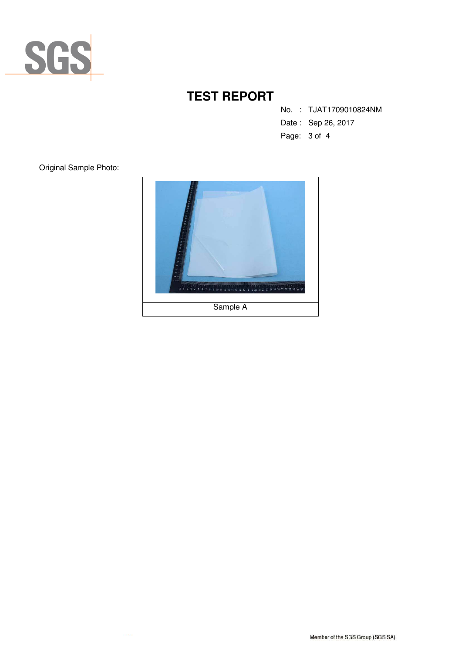

No. : TJAT1709010824NM

- Date : Sep 26, 2017
- Page: 3 of 4

Original Sample Photo: